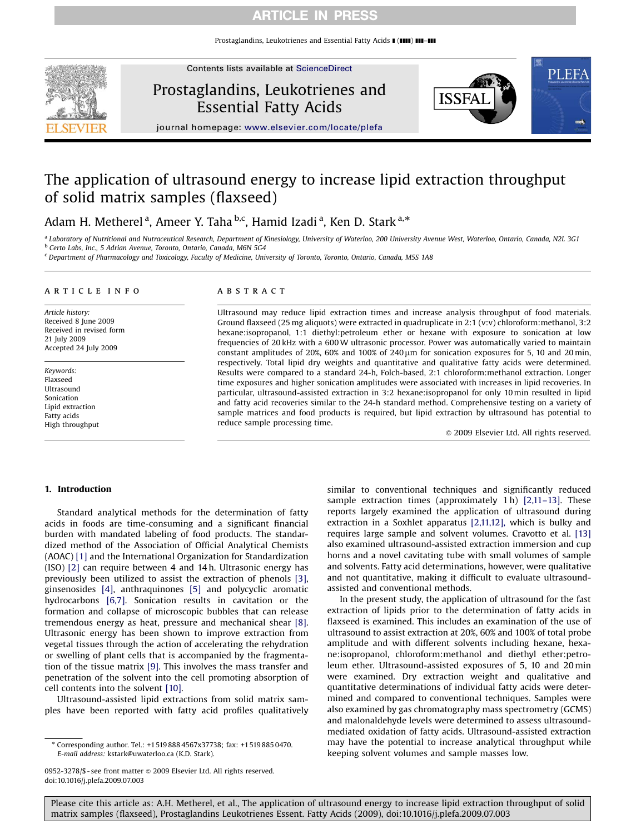# ARTICLE IN PRESS

Prostaglandins, Leukotrienes and Essential Fatty Acids  $\blacksquare$  ( $\blacksquare\blacksquare$ )  $\blacksquare\blacksquare$ 



Contents lists available at ScienceDirect

Prostaglandins, Leukotrienes and Essential Fatty Acids



journal homepage: <www.elsevier.com/locate/plefa>

# The application of ultrasound energy to increase lipid extraction throughput of solid matrix samples (flaxseed)

Adam H. Metherel <sup>a</sup>, Ameer Y. Taha <sup>b,c</sup>, Hamid Izadi <sup>a</sup>, Ken D. Stark <sup>a,\*</sup>

a Laboratory of Nutritional and Nutraceutical Research, Department of Kinesiology, University of Waterloo, 200 University Avenue West, Waterloo, Ontario, Canada, N2L 3G1 b Certo Labs, Inc., 5 Adrian Avenue, Toronto, Ontario, Canada, M6N 5G4

<sup>c</sup> Department of Pharmacology and Toxicology, Faculty of Medicine, University of Toronto, Toronto, Ontario, Canada, M5S 1A8

#### article info

Article history: Received 8 June 2009 Received in revised form 21 July 2009 Accepted 24 July 2009

Keywords: Flaxseed Ultrasound Sonication Lipid extraction Fatty acids High throughput

### **ABSTRACT**

Ultrasound may reduce lipid extraction times and increase analysis throughput of food materials. Ground flaxseed (25 mg aliquots) were extracted in quadruplicate in 2:1 (v:v) chloroform:methanol, 3:2 hexane:isopropanol, 1:1 diethyl:petroleum ether or hexane with exposure to sonication at low frequencies of 20 kHz with a 600W ultrasonic processor. Power was automatically varied to maintain constant amplitudes of 20%, 60% and 100% of 240  $\mu$ m for sonication exposures for 5, 10 and 20 min, respectively. Total lipid dry weights and quantitative and qualitative fatty acids were determined. Results were compared to a standard 24-h, Folch-based, 2:1 chloroform:methanol extraction. Longer time exposures and higher sonication amplitudes were associated with increases in lipid recoveries. In particular, ultrasound-assisted extraction in 3:2 hexane:isopropanol for only 10 min resulted in lipid and fatty acid recoveries similar to the 24-h standard method. Comprehensive testing on a variety of sample matrices and food products is required, but lipid extraction by ultrasound has potential to reduce sample processing time.

 $© 2009$  Elsevier Ltd. All rights reserved.

### 1. Introduction

Standard analytical methods for the determination of fatty acids in foods are time-consuming and a significant financial burden with mandated labeling of food products. The standardized method of the Association of Official Analytical Chemists (AOAC) [\[1\]](#page-6-0) and the International Organization for Standardization (ISO) [\[2\]](#page-6-0) can require between 4 and 14 h. Ultrasonic energy has previously been utilized to assist the extraction of phenols [\[3\],](#page-6-0) ginsenosides [\[4\],](#page-6-0) anthraquinones [\[5\]](#page-6-0) and polycyclic aromatic hydrocarbons [\[6,7\].](#page-6-0) Sonication results in cavitation or the formation and collapse of microscopic bubbles that can release tremendous energy as heat, pressure and mechanical shear [\[8\].](#page-6-0) Ultrasonic energy has been shown to improve extraction from vegetal tissues through the action of accelerating the rehydration or swelling of plant cells that is accompanied by the fragmentation of the tissue matrix [\[9\]](#page-6-0). This involves the mass transfer and penetration of the solvent into the cell promoting absorption of cell contents into the solvent [\[10\].](#page-6-0)

Ultrasound-assisted lipid extractions from solid matrix samples have been reported with fatty acid profiles qualitatively similar to conventional techniques and significantly reduced sample extraction times (approximately 1h) [2,11-13]. These reports largely examined the application of ultrasound during extraction in a Soxhlet apparatus [\[2,11,12\],](#page-6-0) which is bulky and requires large sample and solvent volumes. Cravotto et al. [\[13\]](#page-6-0) also examined ultrasound-assisted extraction immersion and cup horns and a novel cavitating tube with small volumes of sample and solvents. Fatty acid determinations, however, were qualitative and not quantitative, making it difficult to evaluate ultrasoundassisted and conventional methods.

In the present study, the application of ultrasound for the fast extraction of lipids prior to the determination of fatty acids in flaxseed is examined. This includes an examination of the use of ultrasound to assist extraction at 20%, 60% and 100% of total probe amplitude and with different solvents including hexane, hexane:isopropanol, chloroform:methanol and diethyl ether:petroleum ether. Ultrasound-assisted exposures of 5, 10 and 20 min were examined. Dry extraction weight and qualitative and quantitative determinations of individual fatty acids were determined and compared to conventional techniques. Samples were also examined by gas chromatography mass spectrometry (GCMS) and malonaldehyde levels were determined to assess ultrasoundmediated oxidation of fatty acids. Ultrasound-assisted extraction may have the potential to increase analytical throughput while keeping solvent volumes and sample masses low.

<sup>-</sup> Corresponding author. Tel.: +1519 888 4567x37738; fax: +1519 885 0470. E-mail address: [kstark@uwaterloo.ca \(K.D. Stark\).](mailto:kstark@uwaterloo.ca)

<sup>0952-3278/\$ -</sup> see front matter @ 2009 Elsevier Ltd. All rights reserved. doi:[10.1016/j.plefa.2009.07.003](dx.doi.org/10.1016/j.plefa.2009.07.003)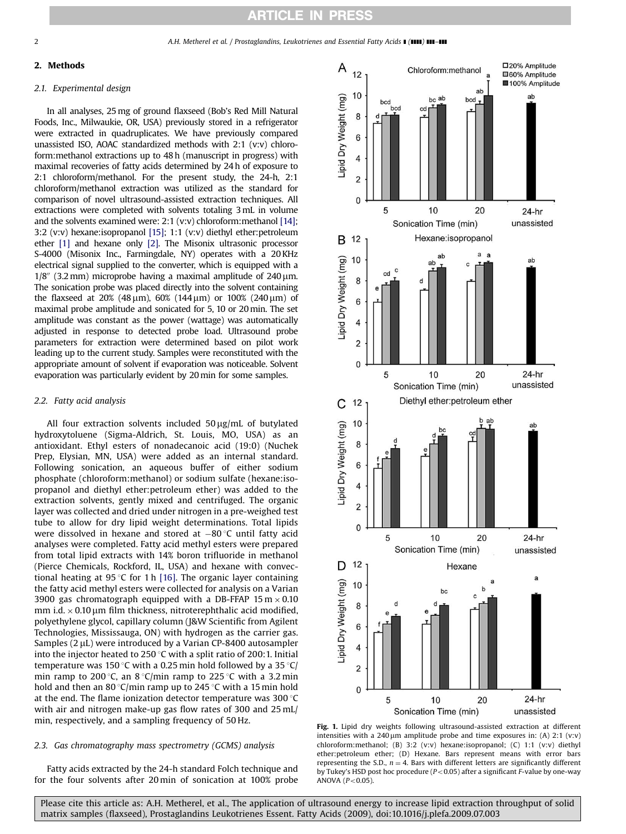<span id="page-1-0"></span>

# 2. Methods

# 2.1. Experimental design

In all analyses, 25mg of ground flaxseed (Bob's Red Mill Natural Foods, Inc., Milwaukie, OR, USA) previously stored in a refrigerator were extracted in quadruplicates. We have previously compared unassisted ISO, AOAC standardized methods with 2:1 (v:v) chloroform:methanol extractions up to 48 h (manuscript in progress) with maximal recoveries of fatty acids determined by 24 h of exposure to 2:1 chloroform/methanol. For the present study, the 24-h, 2:1 chloroform/methanol extraction was utilized as the standard for comparison of novel ultrasound-assisted extraction techniques. All extractions were completed with solvents totaling 3mL in volume and the solvents examined were: 2:1 (v:v) chloroform:methanol [\[14\];](#page-6-0) 3:2 (v:v) hexane:isopropanol [\[15\];](#page-6-0) 1:1 (v:v) diethyl ether:petroleum ether [\[1\]](#page-6-0) and hexane only [\[2\].](#page-6-0) The Misonix ultrasonic processor S-4000 (Misonix Inc., Farmingdale, NY) operates with a 20 KHz electrical signal supplied to the converter, which is equipped with a  $1/8$ " (3.2 mm) microprobe having a maximal amplitude of 240  $\mu$ m. The sonication probe was placed directly into the solvent containing the flaxseed at 20% (48  $\mu$ m), 60% (144  $\mu$ m) or 100% (240  $\mu$ m) of maximal probe amplitude and sonicated for 5, 10 or 20min. The set amplitude was constant as the power (wattage) was automatically adjusted in response to detected probe load. Ultrasound probe parameters for extraction were determined based on pilot work leading up to the current study. Samples were reconstituted with the appropriate amount of solvent if evaporation was noticeable. Solvent evaporation was particularly evident by 20min for some samples.

# 2.2. Fatty acid analysis

All four extraction solvents included  $50 \mu g/mL$  of butylated hydroxytoluene (Sigma-Aldrich, St. Louis, MO, USA) as an antioxidant. Ethyl esters of nonadecanoic acid (19:0) (Nuchek Prep, Elysian, MN, USA) were added as an internal standard. Following sonication, an aqueous buffer of either sodium phosphate (chloroform:methanol) or sodium sulfate (hexane:isopropanol and diethyl ether:petroleum ether) was added to the extraction solvents, gently mixed and centrifuged. The organic layer was collected and dried under nitrogen in a pre-weighed test tube to allow for dry lipid weight determinations. Total lipids were dissolved in hexane and stored at  $-80^{\circ}$ C until fatty acid analyses were completed. Fatty acid methyl esters were prepared from total lipid extracts with 14% boron trifluoride in methanol (Pierce Chemicals, Rockford, IL, USA) and hexane with convec-tional heating at 95 °C for 1 h [\[16\]](#page-6-0). The organic layer containing the fatty acid methyl esters were collected for analysis on a Varian 3900 gas chromatograph equipped with a DB-FFAP 15 m  $\times$  0.10 mm i.d.  $\times$  0.10  $\mu$ m film thickness, nitroterephthalic acid modified, polyethylene glycol, capillary column (J&W Scientific from Agilent Technologies, Mississauga, ON) with hydrogen as the carrier gas. Samples  $(2 \mu L)$  were introduced by a Varian CP-8400 autosampler into the injector heated to 250 °C with a split ratio of 200:1. Initial temperature was 150 °C with a 0.25 min hold followed by a 35 °C/ min ramp to 200 °C, an  $8$  °C/min ramp to 225 °C with a 3.2 min hold and then an 80 °C/min ramp up to 245 °C with a 15 min hold at the end. The flame ionization detector temperature was  $300^{\circ}$ C with air and nitrogen make-up gas flow rates of 300 and 25 mL/ min, respectively, and a sampling frequency of 50 Hz.

# 2.3. Gas chromatography mass spectrometry (GCMS) analysis

Fatty acids extracted by the 24-h standard Folch technique and for the four solvents after 20 min of sonication at 100% probe



Fig. 1. Lipid dry weights following ultrasound-assisted extraction at different intensities with a  $240 \mu m$  amplitude probe and time exposures in: (A)  $2:1$  (v:v) chloroform:methanol; (B) 3:2 (v:v) hexane:isopropanol; (C) 1:1 (v:v) diethyl ether:petroleum ether; (D) Hexane. Bars represent means with error bars representing the S.D.,  $n = 4$ . Bars with different letters are significantly different by Tukey's HSD post hoc procedure ( $P<0.05$ ) after a significant F-value by one-way ANOVA ( $P<0.05$ ).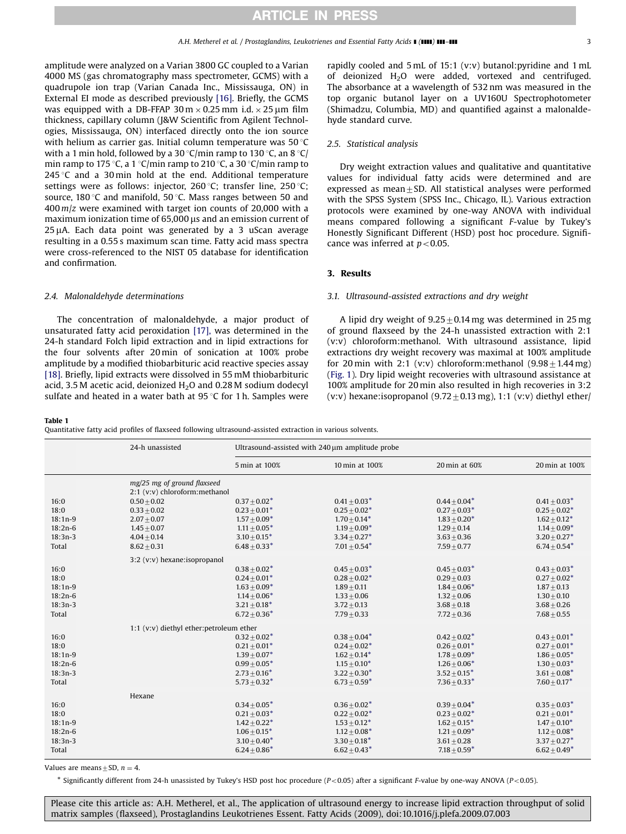<span id="page-2-0"></span>amplitude were analyzed on a Varian 3800 GC coupled to a Varian 4000 MS (gas chromatography mass spectrometer, GCMS) with a quadrupole ion trap (Varian Canada Inc., Mississauga, ON) in External EI mode as described previously [\[16\].](#page-6-0) Briefly, the GCMS was equipped with a DB-FFAP  $30 \text{ m} \times 0.25 \text{ mm}$  i.d.  $\times 25 \text{ }\mu\text{m}$  film thickness, capillary column (J&W Scientific from Agilent Technologies, Mississauga, ON) interfaced directly onto the ion source with helium as carrier gas. Initial column temperature was  $50^{\circ}$ C with a 1 min hold, followed by a 30 °C/min ramp to 130 °C, an 8 °C/ min ramp to 175 °C, a 1 °C/min ramp to 210 °C, a 30 °C/min ramp to 245 °C and a 30 min hold at the end. Additional temperature settings were as follows: injector,  $260^{\circ}$ C: transfer line,  $250^{\circ}$ C: source, 180 $\degree$ C and manifold, 50 $\degree$ C. Mass ranges between 50 and  $400 \, \text{m/s}$  were examined with target ion counts of 20,000 with a maximum ionization time of  $65,000$   $\mu$ s and an emission current of  $25 \mu$ A. Each data point was generated by a 3 uScan average resulting in a 0.55 s maximum scan time. Fatty acid mass spectra were cross-referenced to the NIST 05 database for identification and confirmation.

### 2.4. Malonaldehyde determinations

The concentration of malonaldehyde, a major product of unsaturated fatty acid peroxidation [\[17\],](#page-6-0) was determined in the 24-h standard Folch lipid extraction and in lipid extractions for the four solvents after 20 min of sonication at 100% probe amplitude by a modified thiobarbituric acid reactive species assay [\[18\].](#page-6-0) Briefly, lipid extracts were dissolved in 55 mM thiobarbituric acid, 3.5 M acetic acid, deionized  $H<sub>2</sub>O$  and 0.28 M sodium dodecyl sulfate and heated in a water bath at  $95^{\circ}$ C for 1 h. Samples were

rapidly cooled and 5 mL of 15:1 (v:v) butanol:pyridine and 1 mL of deionized H2O were added, vortexed and centrifuged. The absorbance at a wavelength of 532 nm was measured in the top organic butanol layer on a UV160U Spectrophotometer (Shimadzu, Columbia, MD) and quantified against a malonaldehyde standard curve.

### 2.5. Statistical analysis

Dry weight extraction values and qualitative and quantitative values for individual fatty acids were determined and are expressed as mean $\pm$ SD. All statistical analyses were performed with the SPSS System (SPSS Inc., Chicago, IL). Various extraction protocols were examined by one-way ANOVA with individual means compared following a significant F-value by Tukey's Honestly Significant Different (HSD) post hoc procedure. Significance was inferred at  $p < 0.05$ .

## 3. Results

### 3.1. Ultrasound-assisted extractions and dry weight

A lipid dry weight of  $9.25 \pm 0.14$  mg was determined in 25 mg of ground flaxseed by the 24-h unassisted extraction with 2:1 (v:v) chloroform:methanol. With ultrasound assistance, lipid extractions dry weight recovery was maximal at 100% amplitude for 20 min with 2:1 (v:v) chloroform: methanol  $(9.98 \pm 1.44 \text{ mg})$ ([Fig. 1\)](#page-1-0). Dry lipid weight recoveries with ultrasound assistance at 100% amplitude for 20 min also resulted in high recoveries in 3:2 (v:v) hexane:isopropanol (9.72  $\pm$  0.13 mg), 1:1 (v:v) diethyl ether/

#### Table 1

Quantitative fatty acid profiles of flaxseed following ultrasound-assisted extraction in various solvents.

|           | 24-h unassisted                                               | Ultrasound-assisted with 240 µm amplitude probe |                 |                  |                   |  |  |
|-----------|---------------------------------------------------------------|-------------------------------------------------|-----------------|------------------|-------------------|--|--|
|           |                                                               | 5 min at 100%                                   | 10 min at 100%  | 20 min at 60%    | 20 min at 100%    |  |  |
|           | mg/25 mg of ground flaxseed<br>2:1 (v:v) chloroform: methanol |                                                 |                 |                  |                   |  |  |
| 16:0      | $0.50 \pm 0.02$                                               | $0.37 + 0.02*$                                  | $0.41 + 0.03*$  | $0.44 + 0.04*$   | $0.41 \pm 0.03*$  |  |  |
| 18:0      | $0.33 + 0.02$                                                 | $0.23 + 0.01*$                                  | $0.25 + 0.02*$  | $0.27 + 0.03*$   | $0.25 + 0.02*$    |  |  |
| $18:1n-9$ | $2.07 + 0.07$                                                 | $1.57 + 0.09*$                                  | $1.70 + 0.14*$  | $1.83 + 0.20*$   | $1.62 + 0.12*$    |  |  |
| $18:2n-6$ | $1.45 + 0.07$                                                 | $1.11 + 0.05*$                                  | $1.19 + 0.09*$  | $1.29 + 0.14$    | $1.14 + 0.09*$    |  |  |
| $18:3n-3$ | $4.04 + 0.14$                                                 | $3.10 + 0.15*$                                  | $3.34 + 0.27*$  | $3.63 + 0.36$    | $3.20 + 0.27*$    |  |  |
| Total     | $8.62 + 0.31$                                                 | $6.48 + 0.33*$                                  | $7.01 + 0.54*$  | $7.59 + 0.77$    | $6.74 + 0.54*$    |  |  |
|           | 3:2 (v:v) hexane:isopropanol                                  |                                                 |                 |                  |                   |  |  |
| 16:0      |                                                               | $0.38 + 0.02*$                                  | $0.45 + 0.03*$  | $0.45 + 0.03*$   | $0.43 + 0.03*$    |  |  |
| 18:0      |                                                               | $0.24 + 0.01*$                                  | $0.28 + 0.02*$  | $0.29 + 0.03$    | $0.27 \pm 0.02^*$ |  |  |
| $18:1n-9$ |                                                               | $1.63 + 0.09*$                                  | $1.89 + 0.11$   | $1.84 + 0.06*$   | $1.87 + 0.13$     |  |  |
| $18:2n-6$ |                                                               | $1.14 + 0.06*$                                  | $1.33 + 0.06$   | $1.32 + 0.06$    | $1.30 + 0.10$     |  |  |
| $18:3n-3$ |                                                               | $3.21 + 0.18*$                                  | $3.72 + 0.13$   | $3.68 + 0.18$    | $3.68 + 0.26$     |  |  |
| Total     |                                                               | $6.72 \pm 0.36*$                                | $7.79 + 0.33$   | $7.72 + 0.36$    | $7.68 + 0.55$     |  |  |
|           | 1:1 (v:v) diethyl ether: petroleum ether                      |                                                 |                 |                  |                   |  |  |
| 16:0      |                                                               | $0.32 + 0.02*$                                  | $0.38 + 0.04*$  | $0.42 + 0.02*$   | $0.43 + 0.01*$    |  |  |
| 18:0      |                                                               | $0.21 + 0.01*$                                  | $0.24 + 0.02*$  | $0.26 + 0.01*$   | $0.27 + 0.01*$    |  |  |
| $18:1n-9$ |                                                               | $1.39 \pm 0.07*$                                | $1.62 + 0.14*$  | $1.78 + 0.09*$   | $1.86 + 0.05*$    |  |  |
| $18:2n-6$ |                                                               | $0.99 + 0.05*$                                  | $1.15 + 0.10*$  | $1.26 + 0.06*$   | $1.30 + 0.03*$    |  |  |
| $18:3n-3$ |                                                               | $2.73 + 0.16*$                                  | $3.22 + 0.30*$  | $3.52 + 0.15*$   | $3.61 + 0.08*$    |  |  |
| Total     |                                                               | $5.73 + 0.32*$                                  | $6.73 + 0.59*$  | $7.36 + 0.33*$   | $7.60 + 0.17*$    |  |  |
|           | Hexane                                                        |                                                 |                 |                  |                   |  |  |
| 16:0      |                                                               | $0.34 + 0.05*$                                  | $0.36 + 0.02*$  | $0.39 + 0.04*$   | $0.35 + 0.03*$    |  |  |
| 18:0      |                                                               | $0.21 + 0.03*$                                  | $0.22 + 0.02^*$ | $0.23 + 0.02*$   | $0.21 + 0.01*$    |  |  |
| $18:1n-9$ |                                                               | $1.42 + 0.22*$                                  | $1.53 + 0.12*$  | $1.62 + 0.15*$   | $1.47 + 0.10*$    |  |  |
| $18:2n-6$ |                                                               | $1.06 \pm 0.15*$                                | $1.12 + 0.08*$  | $1.21 \pm 0.09*$ | $1.12 \pm 0.08*$  |  |  |
| $18:3n-3$ |                                                               | $3.10 + 0.40^*$                                 | $3.30 + 0.18*$  | $3.61 + 0.28$    | $3.37 + 0.27$ *   |  |  |
| Total     |                                                               | $6.24 + 0.86*$                                  | $6.62 + 0.43*$  | $7.18 + 0.59*$   | $6.62 + 0.49*$    |  |  |
|           |                                                               |                                                 |                 |                  |                   |  |  |

Values are means + SD,  $n = 4$ .

\* Significantly different from 24-h unassisted by Tukey's HSD post hoc procedure (P<0.05) after a significant F-value by one-way ANOVA (P<0.05).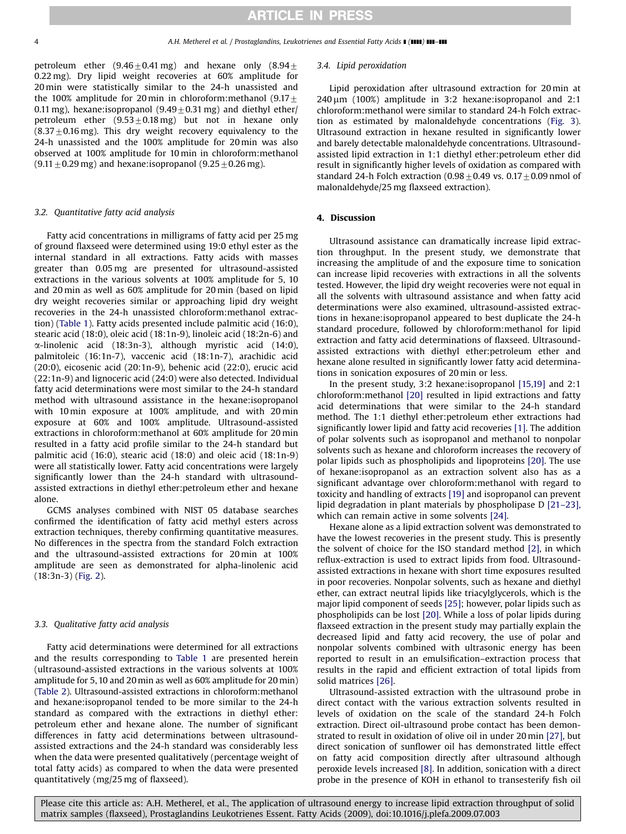petroleum ether  $(9.46 \pm 0.41 \text{ mg})$  and hexane only  $(8.94 \pm$ 0.22 mg). Dry lipid weight recoveries at 60% amplitude for 20 min were statistically similar to the 24-h unassisted and the 100% amplitude for 20 min in chloroform: methanol (9.17 $\pm$ 0.11 mg), hexane:isopropanol  $(9.49\pm0.31$  mg) and diethyl ether/ petroleum ether  $(9.53\pm0.18$  mg) but not in hexane only  $(8.37\pm0.16$  mg). This dry weight recovery equivalency to the 24-h unassisted and the 100% amplitude for 20 min was also observed at 100% amplitude for 10 min in chloroform:methanol  $(9.11 \pm 0.29 \,\text{mg})$  and hexane:isopropanol  $(9.25 \pm 0.26 \,\text{mg})$ .

# 3.2. Quantitative fatty acid analysis

Fatty acid concentrations in milligrams of fatty acid per 25 mg of ground flaxseed were determined using 19:0 ethyl ester as the internal standard in all extractions. Fatty acids with masses greater than 0.05 mg are presented for ultrasound-assisted extractions in the various solvents at 100% amplitude for 5, 10 and 20 min as well as 60% amplitude for 20 min (based on lipid dry weight recoveries similar or approaching lipid dry weight recoveries in the 24-h unassisted chloroform:methanol extraction) ([Table 1](#page-2-0)). Fatty acids presented include palmitic acid (16:0), stearic acid (18:0), oleic acid (18:1n-9), linoleic acid (18:2n-6) and  $\alpha$ -linolenic acid (18:3n-3), although myristic acid (14:0), palmitoleic (16:1n-7), vaccenic acid (18:1n-7), arachidic acid (20:0), eicosenic acid (20:1n-9), behenic acid (22:0), erucic acid (22:1n-9) and lignoceric acid (24:0) were also detected. Individual fatty acid determinations were most similar to the 24-h standard method with ultrasound assistance in the hexane:isopropanol with 10 min exposure at 100% amplitude, and with 20 min exposure at 60% and 100% amplitude. Ultrasound-assisted extractions in chloroform:methanol at 60% amplitude for 20 min resulted in a fatty acid profile similar to the 24-h standard but palmitic acid (16:0), stearic acid (18:0) and oleic acid (18:1n-9) were all statistically lower. Fatty acid concentrations were largely significantly lower than the 24-h standard with ultrasoundassisted extractions in diethyl ether:petroleum ether and hexane alone.

GCMS analyses combined with NIST 05 database searches confirmed the identification of fatty acid methyl esters across extraction techniques, thereby confirming quantitative measures. No differences in the spectra from the standard Folch extraction and the ultrasound-assisted extractions for 20 min at 100% amplitude are seen as demonstrated for alpha-linolenic acid (18:3n-3) ([Fig. 2](#page-4-0)).

## 3.3. Qualitative fatty acid analysis

Fatty acid determinations were determined for all extractions and the results corresponding to [Table 1](#page-2-0) are presented herein (ultrasound-assisted extractions in the various solvents at 100% amplitude for 5, 10 and 20min as well as 60% amplitude for 20 min) ([Table 2](#page-5-0)). Ultrasound-assisted extractions in chloroform:methanol and hexane:isopropanol tended to be more similar to the 24-h standard as compared with the extractions in diethyl ether: petroleum ether and hexane alone. The number of significant differences in fatty acid determinations between ultrasoundassisted extractions and the 24-h standard was considerably less when the data were presented qualitatively (percentage weight of total fatty acids) as compared to when the data were presented quantitatively (mg/25 mg of flaxseed).

## 3.4. Lipid peroxidation

Lipid peroxidation after ultrasound extraction for 20 min at  $240 \,\mu m$  (100%) amplitude in 3:2 hexane:isopropanol and 2:1 chloroform:methanol were similar to standard 24-h Folch extraction as estimated by malonaldehyde concentrations [\(Fig. 3\)](#page-5-0). Ultrasound extraction in hexane resulted in significantly lower and barely detectable malonaldehyde concentrations. Ultrasoundassisted lipid extraction in 1:1 diethyl ether:petroleum ether did result in significantly higher levels of oxidation as compared with standard 24-h Folch extraction  $(0.98\pm0.49$  vs.  $0.17\pm0.09$  nmol of malonaldehyde/25 mg flaxseed extraction).

# 4. Discussion

Ultrasound assistance can dramatically increase lipid extraction throughput. In the present study, we demonstrate that increasing the amplitude of and the exposure time to sonication can increase lipid recoveries with extractions in all the solvents tested. However, the lipid dry weight recoveries were not equal in all the solvents with ultrasound assistance and when fatty acid determinations were also examined, ultrasound-assisted extractions in hexane:isopropanol appeared to best duplicate the 24-h standard procedure, followed by chloroform:methanol for lipid extraction and fatty acid determinations of flaxseed. Ultrasoundassisted extractions with diethyl ether:petroleum ether and hexane alone resulted in significantly lower fatty acid determinations in sonication exposures of 20 min or less.

In the present study, 3:2 hexane:isopropanol [\[15,19\]](#page-6-0) and 2:1 chloroform:methanol [\[20\]](#page-6-0) resulted in lipid extractions and fatty acid determinations that were similar to the 24-h standard method. The 1:1 diethyl ether:petroleum ether extractions had significantly lower lipid and fatty acid recoveries [\[1\]](#page-6-0). The addition of polar solvents such as isopropanol and methanol to nonpolar solvents such as hexane and chloroform increases the recovery of polar lipids such as phospholipids and lipoproteins [\[20\]](#page-6-0). The use of hexane:isopropanol as an extraction solvent also has as a significant advantage over chloroform:methanol with regard to toxicity and handling of extracts [\[19\]](#page-6-0) and isopropanol can prevent lipid degradation in plant materials by phospholipase D [\[21–23\],](#page-6-0) which can remain active in some solvents [\[24\]](#page-6-0).

Hexane alone as a lipid extraction solvent was demonstrated to have the lowest recoveries in the present study. This is presently the solvent of choice for the ISO standard method [\[2\]](#page-6-0), in which reflux-extraction is used to extract lipids from food. Ultrasoundassisted extractions in hexane with short time exposures resulted in poor recoveries. Nonpolar solvents, such as hexane and diethyl ether, can extract neutral lipids like triacylglycerols, which is the major lipid component of seeds [\[25\];](#page-6-0) however, polar lipids such as phospholipids can be lost [\[20\].](#page-6-0) While a loss of polar lipids during flaxseed extraction in the present study may partially explain the decreased lipid and fatty acid recovery, the use of polar and nonpolar solvents combined with ultrasonic energy has been reported to result in an emulsification–extraction process that results in the rapid and efficient extraction of total lipids from solid matrices [\[26\]](#page-6-0).

Ultrasound-assisted extraction with the ultrasound probe in direct contact with the various extraction solvents resulted in levels of oxidation on the scale of the standard 24-h Folch extraction. Direct oil-ultrasound probe contact has been demonstrated to result in oxidation of olive oil in under 20 min [\[27\]](#page-6-0), but direct sonication of sunflower oil has demonstrated little effect on fatty acid composition directly after ultrasound although peroxide levels increased [\[8\]](#page-6-0). In addition, sonication with a direct probe in the presence of KOH in ethanol to transesterify fish oil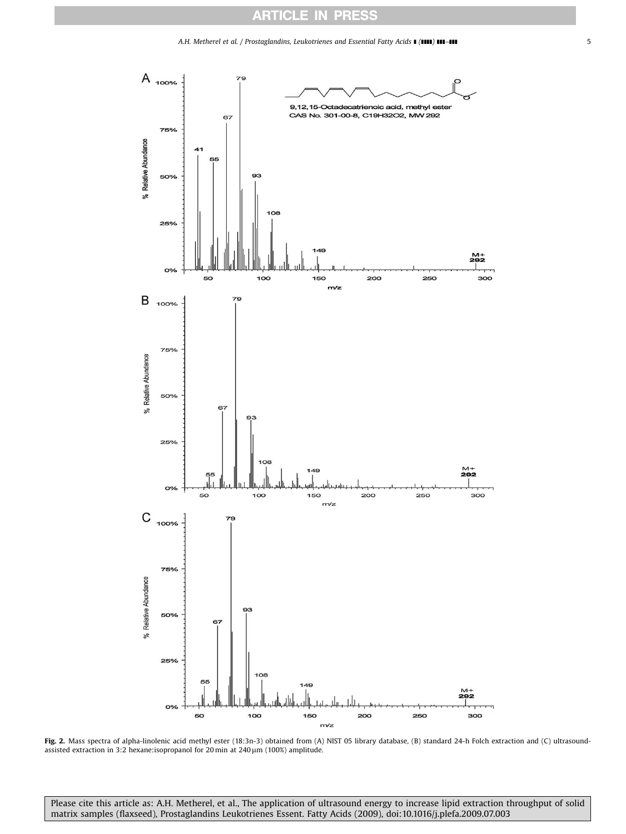# ARTICLE IN PRESS

### A.H. Metherel et al. / Prostaglandins, Leukotrienes and Essential Fatty Acids **I** (IIII) **III-III 111 111 111 111 111 111 111 111 111 111 111 111 111 111 111 111 111 111 111 111 11**

<span id="page-4-0"></span>

Fig. 2. Mass spectra of alpha-linolenic acid methyl ester (18:3n-3) obtained from (A) NIST 05 library database, (B) standard 24-h Folch extraction and (C) ultrasoundassisted extraction in 3:2 hexane:isopropanol for 20 min at  $240 \,\mu$ m (100%) amplitude.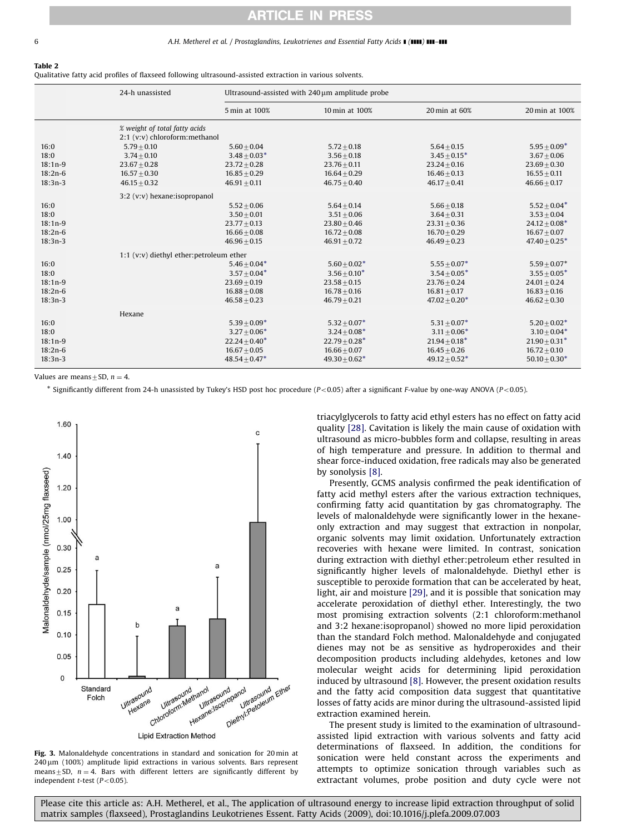### <span id="page-5-0"></span>6 **A.H. Metherel et al. / Prostaglandins, Leukotrienes and Essential Fatty Acids I (IIII) III-III**

#### Table 2

Qualitative fatty acid profiles of flaxseed following ultrasound-assisted extraction in various solvents.

|           | 24-h unassisted |                                                                                                                                      | Ultrasound-assisted with 240 µm amplitude probe |                 |                 |  |  |  |  |
|-----------|-----------------|--------------------------------------------------------------------------------------------------------------------------------------|-------------------------------------------------|-----------------|-----------------|--|--|--|--|
|           |                 | 5 min at 100%                                                                                                                        | 10 min at 100%                                  | 20 min at 60%   | 20 min at 100%  |  |  |  |  |
| 16:0      | $5.79 + 0.10$   | % weight of total fatty acids<br>2:1 (v:v) chloroform: methanol<br>$5.64 + 0.15$<br>$5.60 + 0.04$<br>$5.72 + 0.18$<br>$5.95 + 0.09*$ |                                                 |                 |                 |  |  |  |  |
| 18:0      | $3.74 + 0.10$   | $3.48 + 0.03*$                                                                                                                       | $3.56 + 0.18$                                   | $3.45 + 0.15*$  | $3.67 + 0.06$   |  |  |  |  |
| $18:1n-9$ | $23.67 + 0.28$  | $23.72 + 0.28$                                                                                                                       | $23.76 + 0.11$                                  | $23.24 + 0.16$  | $23.69 + 0.30$  |  |  |  |  |
| $18:2n-6$ | $16.57 + 0.30$  | $16.85 + 0.29$                                                                                                                       | $16.64 + 0.29$                                  | $16.46 + 0.13$  | $16.55 + 0.11$  |  |  |  |  |
| $18:3n-3$ | $46.15 + 0.32$  | $46.91 + 0.11$                                                                                                                       | $46.75 + 0.40$                                  | $46.17 + 0.41$  | $46.66 + 0.17$  |  |  |  |  |
| 16:0      |                 | 3:2 (v:v) hexane:isopropanol<br>$5.64 + 0.14$<br>$5.66 + 0.18$<br>$5.52 + 0.04*$<br>$5.52 + 0.06$                                    |                                                 |                 |                 |  |  |  |  |
| 18:0      |                 | $3.50 + 0.01$                                                                                                                        | $3.51 + 0.06$                                   | $3.64 + 0.31$   | $3.53 + 0.04$   |  |  |  |  |
| $18:1n-9$ |                 | $23.77 + 0.13$                                                                                                                       | $23.80 + 0.46$                                  | $23.31 + 0.36$  | $24.12 + 0.08*$ |  |  |  |  |
| $18:2n-6$ |                 | $16.66 + 0.08$                                                                                                                       | $16.72 + 0.08$                                  | $16.70 + 0.29$  | $16.67 + 0.07$  |  |  |  |  |
| $18:3n-3$ |                 | $46.96 + 0.15$                                                                                                                       | $46.91 + 0.72$                                  | $46.49 + 0.23$  | $47.40 + 0.25*$ |  |  |  |  |
|           |                 | 1:1 (v:v) diethyl ether: petroleum ether                                                                                             |                                                 |                 |                 |  |  |  |  |
| 16:0      |                 | $5.46 + 0.04*$                                                                                                                       | $5.60 + 0.02*$                                  | $5.55 + 0.07*$  | $5.59 + 0.07*$  |  |  |  |  |
| 18:0      |                 | $3.57 + 0.04*$                                                                                                                       | $3.56 + 0.10*$                                  | $3.54 + 0.05*$  | $3.55 + 0.05*$  |  |  |  |  |
| $18:1n-9$ |                 | $23.69 + 0.19$                                                                                                                       | $23.58 + 0.15$                                  | $23.76 + 0.24$  | $24.01 + 0.24$  |  |  |  |  |
| $18:2n-6$ |                 | $16.88 + 0.08$                                                                                                                       | $16.78 + 0.16$                                  | $16.81 + 0.17$  | $16.83 + 0.16$  |  |  |  |  |
| $18:3n-3$ |                 | $46.58 + 0.23$                                                                                                                       | $46.79 + 0.21$                                  | $47.02 + 0.20*$ | $46.62 + 0.30$  |  |  |  |  |
|           | Hexane          |                                                                                                                                      |                                                 |                 |                 |  |  |  |  |
| 16:0      |                 | $5.39 + 0.09*$                                                                                                                       | $5.32 + 0.07^*$                                 | $5.31 + 0.07*$  | $5.20 + 0.02*$  |  |  |  |  |
| 18:0      |                 | $3.27 + 0.06*$                                                                                                                       | $3.24 + 0.08*$                                  | $3.11 + 0.06*$  | $3.10 + 0.04*$  |  |  |  |  |
| $18:1n-9$ |                 | $22.24 + 0.40*$                                                                                                                      | $22.79 + 0.28*$                                 | $21.94 + 0.18*$ | $21.90 + 0.31*$ |  |  |  |  |
| $18:2n-6$ |                 | $16.67 + 0.05$                                                                                                                       | $16.66 + 0.07$                                  | $16.45 + 0.26$  | $16.72 + 0.10$  |  |  |  |  |
| $18:3n-3$ |                 | $48.54 \pm 0.47^*$                                                                                                                   | $49.30 + 0.62*$                                 | $49.12 + 0.52*$ | $50.10 + 0.30*$ |  |  |  |  |

Values are means + SD,  $n = 4$ .

\* Significantly different from 24-h unassisted by Tukey's HSD post hoc procedure (P<0.05) after a significant F-value by one-way ANOVA (P<0.05).



Fig. 3. Malonaldehyde concentrations in standard and sonication for 20 min at 240 um (100%) amplitude lipid extractions in various solvents. Bars represent means $\pm$ SD, n = 4. Bars with different letters are significantly different by independent  $t$ -test ( $P < 0.05$ ).

triacylglycerols to fatty acid ethyl esters has no effect on fatty acid quality [\[28\].](#page-6-0) Cavitation is likely the main cause of oxidation with ultrasound as micro-bubbles form and collapse, resulting in areas of high temperature and pressure. In addition to thermal and shear force-induced oxidation, free radicals may also be generated by sonolysis [\[8\]](#page-6-0).

Presently, GCMS analysis confirmed the peak identification of fatty acid methyl esters after the various extraction techniques, confirming fatty acid quantitation by gas chromatography. The levels of malonaldehyde were significantly lower in the hexaneonly extraction and may suggest that extraction in nonpolar, organic solvents may limit oxidation. Unfortunately extraction recoveries with hexane were limited. In contrast, sonication during extraction with diethyl ether:petroleum ether resulted in significantly higher levels of malonaldehyde. Diethyl ether is susceptible to peroxide formation that can be accelerated by heat, light, air and moisture [\[29\]](#page-6-0), and it is possible that sonication may accelerate peroxidation of diethyl ether. Interestingly, the two most promising extraction solvents (2:1 chloroform:methanol and 3:2 hexane:isopropanol) showed no more lipid peroxidation than the standard Folch method. Malonaldehyde and conjugated dienes may not be as sensitive as hydroperoxides and their decomposition products including aldehydes, ketones and low molecular weight acids for determining lipid peroxidation induced by ultrasound [\[8\].](#page-6-0) However, the present oxidation results and the fatty acid composition data suggest that quantitative losses of fatty acids are minor during the ultrasound-assisted lipid extraction examined herein.

The present study is limited to the examination of ultrasoundassisted lipid extraction with various solvents and fatty acid determinations of flaxseed. In addition, the conditions for sonication were held constant across the experiments and attempts to optimize sonication through variables such as extractant volumes, probe position and duty cycle were not